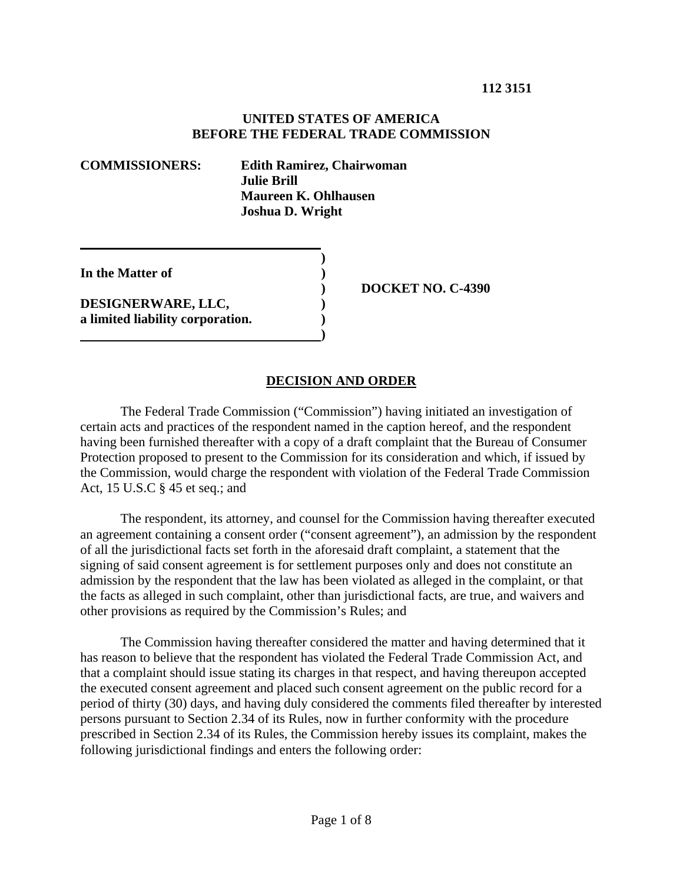#### **UNITED STATES OF AMERICA BEFORE THE FEDERAL TRADE COMMISSION**

**COMMISSIONERS: Edith Ramirez, Chairwoman Julie Brill Maureen K. Ohlhausen Joshua D. Wright** 

 **)** 

 **)** 

**In the Matter of )** 

**DESIGNERWARE, LLC, ) a limited liability corporation. )**   **) DOCKET NO. C-4390** 

### **DECISION AND ORDER**

The Federal Trade Commission ("Commission") having initiated an investigation of certain acts and practices of the respondent named in the caption hereof, and the respondent having been furnished thereafter with a copy of a draft complaint that the Bureau of Consumer Protection proposed to present to the Commission for its consideration and which, if issued by the Commission, would charge the respondent with violation of the Federal Trade Commission Act, 15 U.S.C § 45 et seq.; and

The respondent, its attorney, and counsel for the Commission having thereafter executed an agreement containing a consent order ("consent agreement"), an admission by the respondent of all the jurisdictional facts set forth in the aforesaid draft complaint, a statement that the signing of said consent agreement is for settlement purposes only and does not constitute an admission by the respondent that the law has been violated as alleged in the complaint, or that the facts as alleged in such complaint, other than jurisdictional facts, are true, and waivers and other provisions as required by the Commission's Rules; and

 The Commission having thereafter considered the matter and having determined that it has reason to believe that the respondent has violated the Federal Trade Commission Act, and that a complaint should issue stating its charges in that respect, and having thereupon accepted the executed consent agreement and placed such consent agreement on the public record for a period of thirty (30) days, and having duly considered the comments filed thereafter by interested persons pursuant to Section 2.34 of its Rules, now in further conformity with the procedure prescribed in Section 2.34 of its Rules, the Commission hereby issues its complaint, makes the following jurisdictional findings and enters the following order: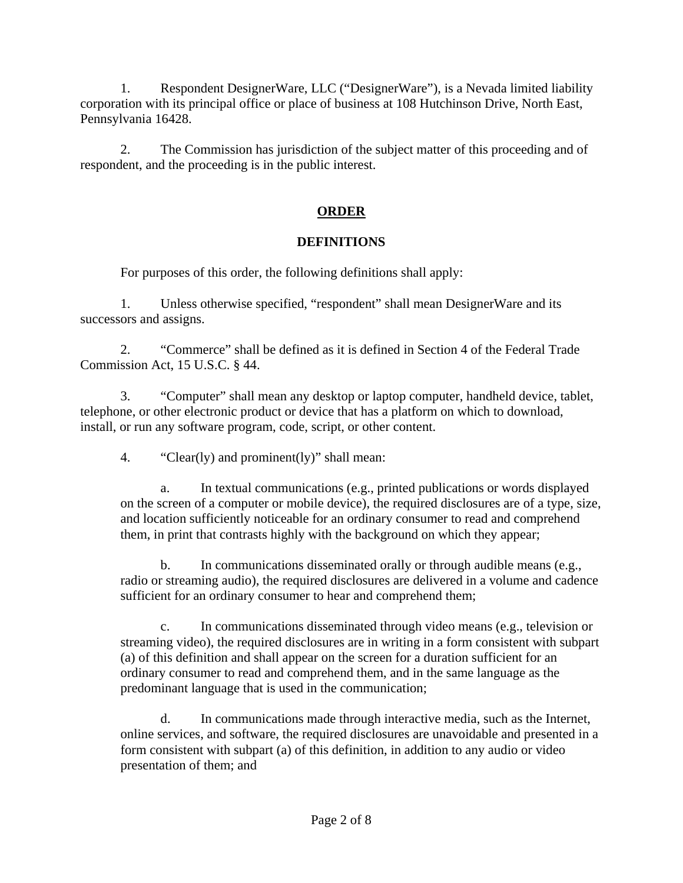1. Respondent DesignerWare, LLC ("DesignerWare"), is a Nevada limited liability corporation with its principal office or place of business at 108 Hutchinson Drive, North East, Pennsylvania 16428.

2. The Commission has jurisdiction of the subject matter of this proceeding and of respondent, and the proceeding is in the public interest.

# **ORDER**

## **DEFINITIONS**

For purposes of this order, the following definitions shall apply:

1. Unless otherwise specified, "respondent" shall mean DesignerWare and its successors and assigns.

2. "Commerce" shall be defined as it is defined in Section 4 of the Federal Trade Commission Act, 15 U.S.C. § 44.

3. "Computer" shall mean any desktop or laptop computer, handheld device, tablet, telephone, or other electronic product or device that has a platform on which to download, install, or run any software program, code, script, or other content.

4. "Clear(ly) and prominent(ly)" shall mean:

In textual communications (e.g., printed publications or words displayed on the screen of a computer or mobile device), the required disclosures are of a type, size, and location sufficiently noticeable for an ordinary consumer to read and comprehend them, in print that contrasts highly with the background on which they appear;

b. In communications disseminated orally or through audible means (e.g., radio or streaming audio), the required disclosures are delivered in a volume and cadence sufficient for an ordinary consumer to hear and comprehend them;

c. In communications disseminated through video means (e.g., television or streaming video), the required disclosures are in writing in a form consistent with subpart (a) of this definition and shall appear on the screen for a duration sufficient for an ordinary consumer to read and comprehend them, and in the same language as the predominant language that is used in the communication;

d. In communications made through interactive media, such as the Internet, online services, and software, the required disclosures are unavoidable and presented in a form consistent with subpart (a) of this definition, in addition to any audio or video presentation of them; and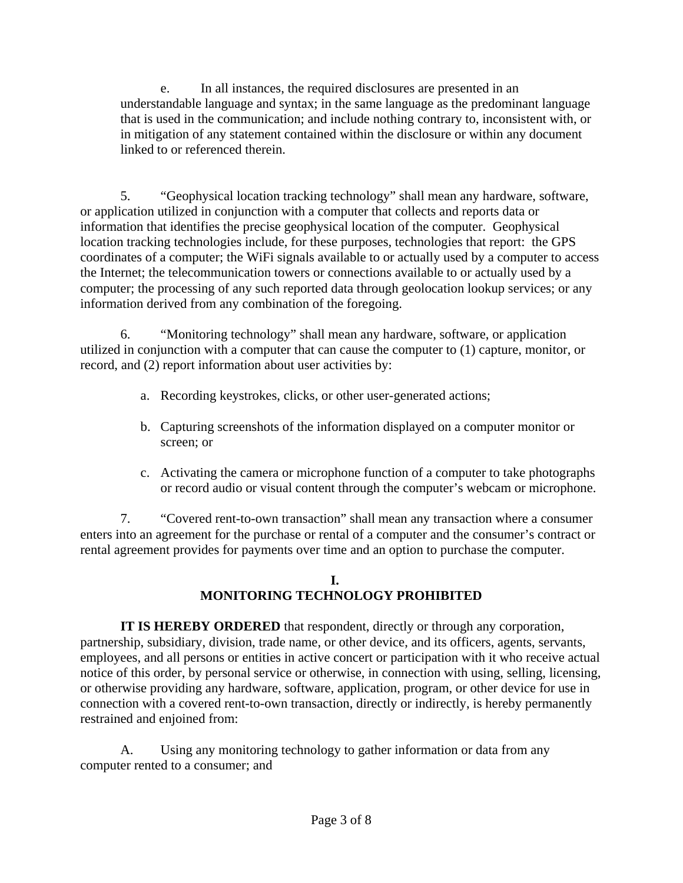e. In all instances, the required disclosures are presented in an understandable language and syntax; in the same language as the predominant language that is used in the communication; and include nothing contrary to, inconsistent with, or in mitigation of any statement contained within the disclosure or within any document linked to or referenced therein.

5. "Geophysical location tracking technology" shall mean any hardware, software, or application utilized in conjunction with a computer that collects and reports data or information that identifies the precise geophysical location of the computer. Geophysical location tracking technologies include, for these purposes, technologies that report: the GPS coordinates of a computer; the WiFi signals available to or actually used by a computer to access the Internet; the telecommunication towers or connections available to or actually used by a computer; the processing of any such reported data through geolocation lookup services; or any information derived from any combination of the foregoing.

6. "Monitoring technology" shall mean any hardware, software, or application utilized in conjunction with a computer that can cause the computer to (1) capture, monitor, or record, and (2) report information about user activities by:

- a. Recording keystrokes, clicks, or other user-generated actions;
- b. Capturing screenshots of the information displayed on a computer monitor or screen; or
- c. Activating the camera or microphone function of a computer to take photographs or record audio or visual content through the computer's webcam or microphone.

7. "Covered rent-to-own transaction" shall mean any transaction where a consumer enters into an agreement for the purchase or rental of a computer and the consumer's contract or rental agreement provides for payments over time and an option to purchase the computer.

## **I. MONITORING TECHNOLOGY PROHIBITED**

**IT IS HEREBY ORDERED** that respondent, directly or through any corporation, partnership, subsidiary, division, trade name, or other device, and its officers, agents, servants, employees, and all persons or entities in active concert or participation with it who receive actual notice of this order, by personal service or otherwise, in connection with using, selling, licensing, or otherwise providing any hardware, software, application, program, or other device for use in connection with a covered rent-to-own transaction, directly or indirectly, is hereby permanently restrained and enjoined from:

A. Using any monitoring technology to gather information or data from any computer rented to a consumer; and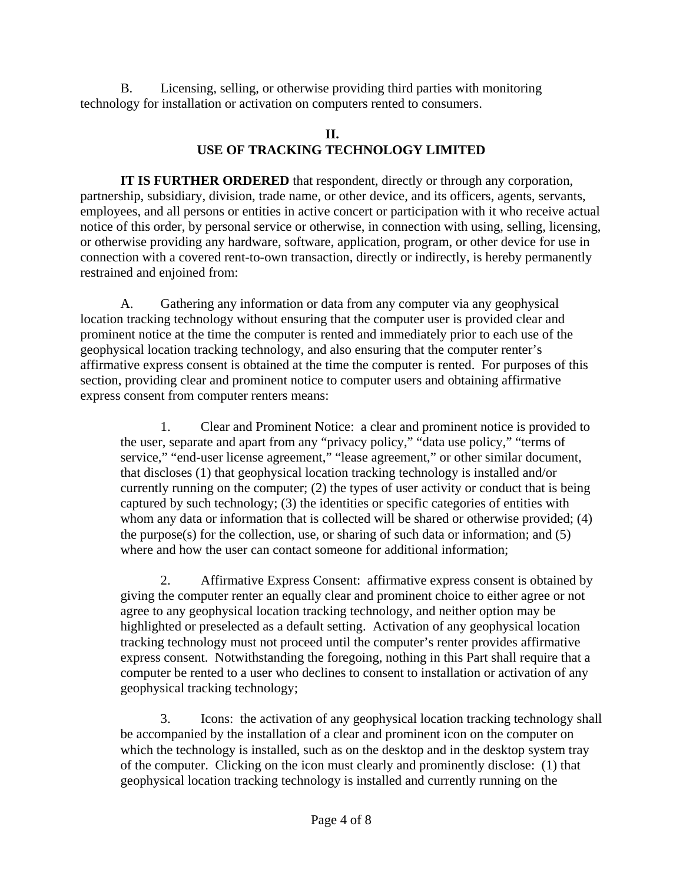B. Licensing, selling, or otherwise providing third parties with monitoring technology for installation or activation on computers rented to consumers.

## **II. USE OF TRACKING TECHNOLOGY LIMITED**

**IT IS FURTHER ORDERED** that respondent, directly or through any corporation, partnership, subsidiary, division, trade name, or other device, and its officers, agents, servants, employees, and all persons or entities in active concert or participation with it who receive actual notice of this order, by personal service or otherwise, in connection with using, selling, licensing, or otherwise providing any hardware, software, application, program, or other device for use in connection with a covered rent-to-own transaction, directly or indirectly, is hereby permanently restrained and enjoined from:

A. Gathering any information or data from any computer via any geophysical location tracking technology without ensuring that the computer user is provided clear and prominent notice at the time the computer is rented and immediately prior to each use of the geophysical location tracking technology, and also ensuring that the computer renter's affirmative express consent is obtained at the time the computer is rented. For purposes of this section, providing clear and prominent notice to computer users and obtaining affirmative express consent from computer renters means:

1. Clear and Prominent Notice: a clear and prominent notice is provided to the user, separate and apart from any "privacy policy," "data use policy," "terms of service," "end-user license agreement," "lease agreement," or other similar document, that discloses (1) that geophysical location tracking technology is installed and/or currently running on the computer; (2) the types of user activity or conduct that is being captured by such technology; (3) the identities or specific categories of entities with whom any data or information that is collected will be shared or otherwise provided; (4) the purpose(s) for the collection, use, or sharing of such data or information; and (5) where and how the user can contact someone for additional information;

2. Affirmative Express Consent: affirmative express consent is obtained by giving the computer renter an equally clear and prominent choice to either agree or not agree to any geophysical location tracking technology, and neither option may be highlighted or preselected as a default setting. Activation of any geophysical location tracking technology must not proceed until the computer's renter provides affirmative express consent. Notwithstanding the foregoing, nothing in this Part shall require that a computer be rented to a user who declines to consent to installation or activation of any geophysical tracking technology;

3. Icons: the activation of any geophysical location tracking technology shall be accompanied by the installation of a clear and prominent icon on the computer on which the technology is installed, such as on the desktop and in the desktop system tray of the computer. Clicking on the icon must clearly and prominently disclose: (1) that geophysical location tracking technology is installed and currently running on the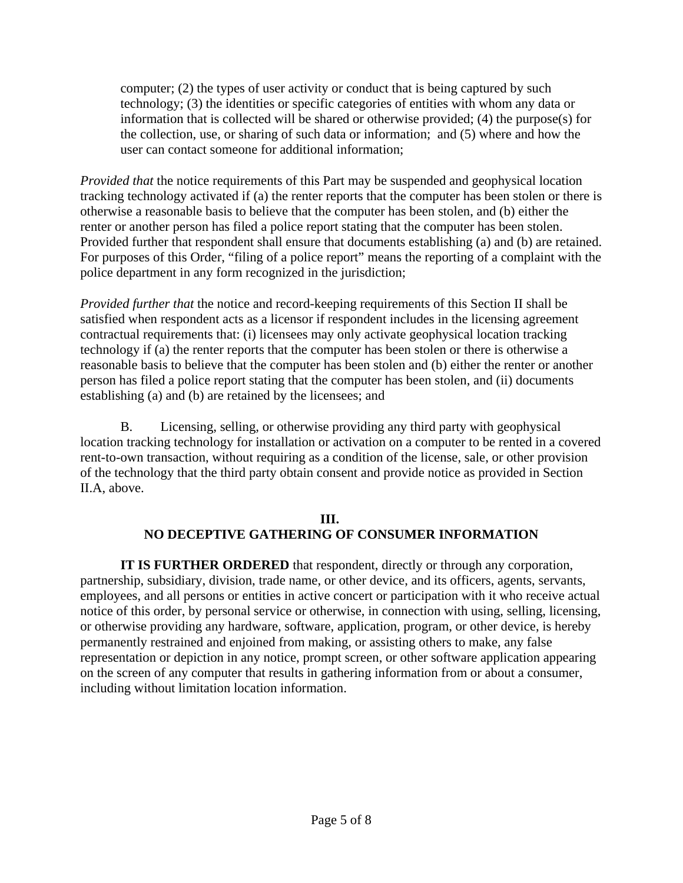computer; (2) the types of user activity or conduct that is being captured by such technology; (3) the identities or specific categories of entities with whom any data or information that is collected will be shared or otherwise provided; (4) the purpose(s) for the collection, use, or sharing of such data or information; and (5) where and how the user can contact someone for additional information;

*Provided that* the notice requirements of this Part may be suspended and geophysical location tracking technology activated if (a) the renter reports that the computer has been stolen or there is otherwise a reasonable basis to believe that the computer has been stolen, and (b) either the renter or another person has filed a police report stating that the computer has been stolen. Provided further that respondent shall ensure that documents establishing (a) and (b) are retained. For purposes of this Order, "filing of a police report" means the reporting of a complaint with the police department in any form recognized in the jurisdiction;

*Provided further that* the notice and record-keeping requirements of this Section II shall be satisfied when respondent acts as a licensor if respondent includes in the licensing agreement contractual requirements that: (i) licensees may only activate geophysical location tracking technology if (a) the renter reports that the computer has been stolen or there is otherwise a reasonable basis to believe that the computer has been stolen and (b) either the renter or another person has filed a police report stating that the computer has been stolen, and (ii) documents establishing (a) and (b) are retained by the licensees; and

B. Licensing, selling, or otherwise providing any third party with geophysical location tracking technology for installation or activation on a computer to be rented in a covered rent-to-own transaction, without requiring as a condition of the license, sale, or other provision of the technology that the third party obtain consent and provide notice as provided in Section II.A, above.

### **III. NO DECEPTIVE GATHERING OF CONSUMER INFORMATION**

**IT IS FURTHER ORDERED** that respondent, directly or through any corporation, partnership, subsidiary, division, trade name, or other device, and its officers, agents, servants, employees, and all persons or entities in active concert or participation with it who receive actual notice of this order, by personal service or otherwise, in connection with using, selling, licensing, or otherwise providing any hardware, software, application, program, or other device, is hereby permanently restrained and enjoined from making, or assisting others to make, any false representation or depiction in any notice, prompt screen, or other software application appearing on the screen of any computer that results in gathering information from or about a consumer, including without limitation location information.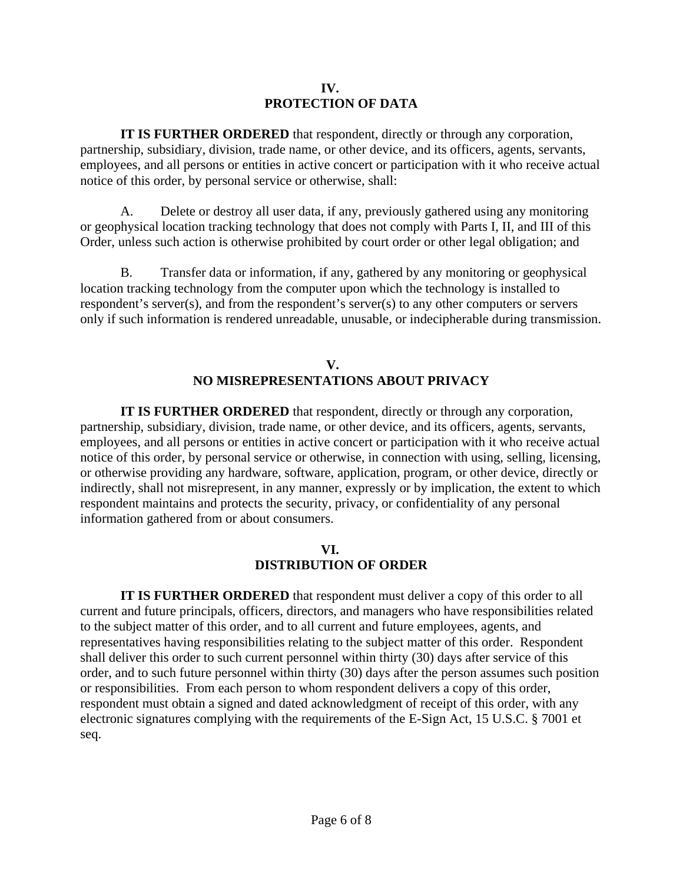#### **IV. PROTECTION OF DATA**

**IT IS FURTHER ORDERED** that respondent, directly or through any corporation, partnership, subsidiary, division, trade name, or other device, and its officers, agents, servants, employees, and all persons or entities in active concert or participation with it who receive actual notice of this order, by personal service or otherwise, shall:

A. Delete or destroy all user data, if any, previously gathered using any monitoring or geophysical location tracking technology that does not comply with Parts I, II, and III of this Order, unless such action is otherwise prohibited by court order or other legal obligation; and

B. Transfer data or information, if any, gathered by any monitoring or geophysical location tracking technology from the computer upon which the technology is installed to respondent's server(s), and from the respondent's server(s) to any other computers or servers only if such information is rendered unreadable, unusable, or indecipherable during transmission.

### **V. NO MISREPRESENTATIONS ABOUT PRIVACY**

**IT IS FURTHER ORDERED** that respondent, directly or through any corporation, partnership, subsidiary, division, trade name, or other device, and its officers, agents, servants, employees, and all persons or entities in active concert or participation with it who receive actual notice of this order, by personal service or otherwise, in connection with using, selling, licensing, or otherwise providing any hardware, software, application, program, or other device, directly or indirectly, shall not misrepresent, in any manner, expressly or by implication, the extent to which respondent maintains and protects the security, privacy, or confidentiality of any personal information gathered from or about consumers.

### **VI. DISTRIBUTION OF ORDER**

**IT IS FURTHER ORDERED** that respondent must deliver a copy of this order to all current and future principals, officers, directors, and managers who have responsibilities related to the subject matter of this order, and to all current and future employees, agents, and representatives having responsibilities relating to the subject matter of this order. Respondent shall deliver this order to such current personnel within thirty (30) days after service of this order, and to such future personnel within thirty (30) days after the person assumes such position or responsibilities. From each person to whom respondent delivers a copy of this order, respondent must obtain a signed and dated acknowledgment of receipt of this order, with any electronic signatures complying with the requirements of the E-Sign Act, 15 U.S.C. § 7001 et seq.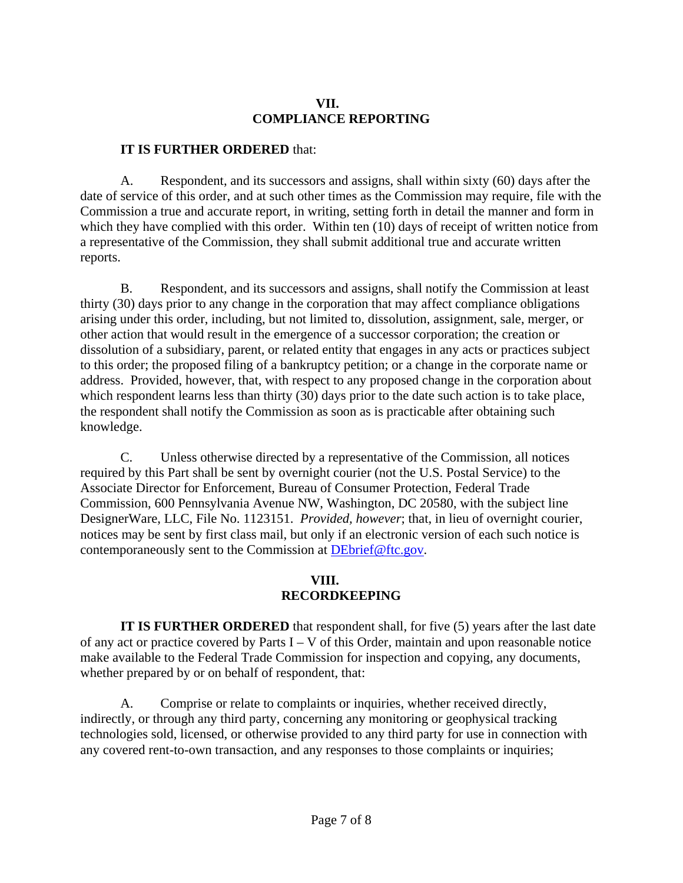### **VII. COMPLIANCE REPORTING**

### **IT IS FURTHER ORDERED** that:

A. Respondent, and its successors and assigns, shall within sixty (60) days after the date of service of this order, and at such other times as the Commission may require, file with the Commission a true and accurate report, in writing, setting forth in detail the manner and form in which they have complied with this order. Within ten (10) days of receipt of written notice from a representative of the Commission, they shall submit additional true and accurate written reports.

B. Respondent, and its successors and assigns, shall notify the Commission at least thirty (30) days prior to any change in the corporation that may affect compliance obligations arising under this order, including, but not limited to, dissolution, assignment, sale, merger, or other action that would result in the emergence of a successor corporation; the creation or dissolution of a subsidiary, parent, or related entity that engages in any acts or practices subject to this order; the proposed filing of a bankruptcy petition; or a change in the corporate name or address. Provided, however, that, with respect to any proposed change in the corporation about which respondent learns less than thirty (30) days prior to the date such action is to take place, the respondent shall notify the Commission as soon as is practicable after obtaining such knowledge.

C. Unless otherwise directed by a representative of the Commission, all notices required by this Part shall be sent by overnight courier (not the U.S. Postal Service) to the Associate Director for Enforcement, Bureau of Consumer Protection, Federal Trade Commission, 600 Pennsylvania Avenue NW, Washington, DC 20580, with the subject line DesignerWare, LLC, File No. 1123151. *Provided, however*; that, in lieu of overnight courier, notices may be sent by first class mail, but only if an electronic version of each such notice is contemporaneously sent to the Commission at DEbrief@ftc.gov.

## **VIII. RECORDKEEPING**

**IT IS FURTHER ORDERED** that respondent shall, for five (5) years after the last date of any act or practice covered by Parts  $I - V$  of this Order, maintain and upon reasonable notice make available to the Federal Trade Commission for inspection and copying, any documents, whether prepared by or on behalf of respondent, that:

A. Comprise or relate to complaints or inquiries, whether received directly, indirectly, or through any third party, concerning any monitoring or geophysical tracking technologies sold, licensed, or otherwise provided to any third party for use in connection with any covered rent-to-own transaction, and any responses to those complaints or inquiries;